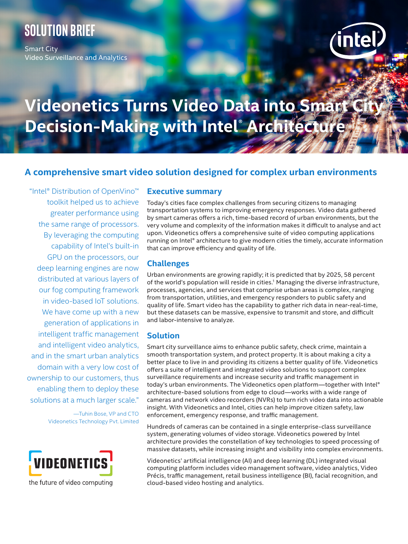## **SOLUTION brief**

Smart City Video Surveillance and Analytics



# **Videonetics Turns Video Data into Smart City Decision-Making with Intel® Architecture**

## **A comprehensive smart video solution designed for complex urban environments**

"Intel® Distribution of OpenVino™ toolkit helped us to achieve greater performance using the same range of processors. By leveraging the computing capability of Intel's built-in GPU on the processors, our deep learning engines are now distributed at various layers of our fog computing framework in video-based IoT solutions. We have come up with a new generation of applications in intelligent traffic management and intelligent video analytics, and in the smart urban analytics domain with a very low cost of ownership to our customers, thus enabling them to deploy these solutions at a much larger scale."

> —Tuhin Bose, VP and CTO Videonetics Technology Pvt. Limited



#### **Executive summary**

Today's cities face complex challenges from securing citizens to managing transportation systems to improving emergency responses. Video data gathered by smart cameras offers a rich, time-based record of urban environments, but the very volume and complexity of the information makes it difficult to analyse and act upon. Videonetics offers a comprehensive suite of video computing applications running on Intel® architecture to give modern cities the timely, accurate information that can improve efficiency and quality of life.

#### **Challenges**

Urban environments are growing rapidly; it is predicted that by 2025, 58 percent of the world's population will reside in cities.<sup>1</sup> Managing the diverse infrastructure, processes, agencies, and services that comprise urban areas is complex, ranging from transportation, utilities, and emergency responders to public safety and quality of life. Smart video has the capability to gather rich data in near-real-time, but these datasets can be massive, expensive to transmit and store, and difficult and labor-intensive to analyze.

#### **Solution**

Smart city surveillance aims to enhance public safety, check crime, maintain a smooth transportation system, and protect property. It is about making a city a better place to live in and providing its citizens a better quality of life. Videonetics offers a suite of intelligent and integrated video solutions to support complex surveillance requirements and increase security and traffic management in today's urban environments. The Videonetics open platform—together with Intel® architecture-based solutions from edge to cloud—works with a wide range of cameras and network video recorders (NVRs) to turn rich video data into actionable insight. With Videonetics and Intel, cities can help improve citizen safety, law enforcement, emergency response, and traffic management.

Hundreds of cameras can be contained in a single enterprise-class surveillance system, generating volumes of video storage. Videonetics powered by Intel architecture provides the constellation of key technologies to speed processing of massive datasets, while increasing insight and visibility into complex environments.

Videonetics' artificial intelligence (AI) and deep learning (DL) integrated visual computing platform includes video management software, video analytics, Video Précis, traffic management, retail business intelligence (BI), facial recognition, and cloud-based video hosting and analytics.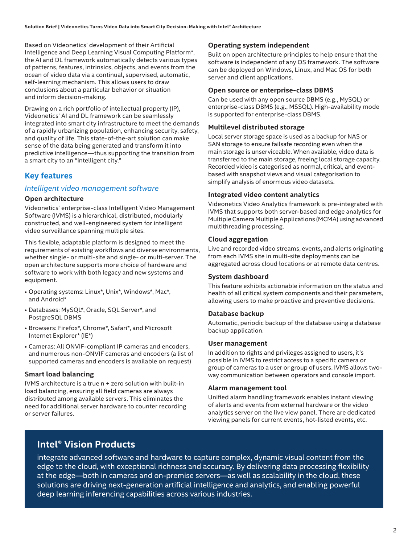Based on Videonetics' development of their Artificial Intelligence and Deep Learning Visual Computing Platform\*, the AI and DL framework automatically detects various types of patterns, features, intrinsics, objects, and events from the ocean of video data via a continual, supervised, automatic, self-learning mechanism. This allows users to draw conclusions about a particular behavior or situation and inform decision-making.

Drawing on a rich portfolio of intellectual property (IP), Videonetics' AI and DL framework can be seamlessly integrated into smart city infrastructure to meet the demands of a rapidly urbanizing population, enhancing security, safety, and quality of life. This state-of-the-art solution can make sense of the data being generated and transform it into predictive intelligence—thus supporting the transition from a smart city to an "intelligent city."

## **Key features**

#### *Intelligent video management software*

#### **Open architecture**

Videonetics' enterprise-class Intelligent Video Management Software (IVMS) is a hierarchical, distributed, modularly constructed, and well-engineered system for intelligent video surveillance spanning multiple sites.

This flexible, adaptable platform is designed to meet the requirements of existing workflows and diverse environments, whether single- or multi-site and single- or multi-server. The open architecture supports more choice of hardware and software to work with both legacy and new systems and equipment.

- Operating systems: Linux\*, Unix\*, Windows\*, Mac\*, and Android\*
- Databases: MySQL\*, Oracle, SQL Server\*, and PostgreSQL DBMS
- Browsers: Firefox\*, Chrome\*, Safari\*, and Microsoft Internet Explorer\* (IE\*)
- Cameras: All ONVIF-compliant IP cameras and encoders, and numerous non-ONVIF cameras and encoders (a list of supported cameras and encoders is available on request)

#### **Smart load balancing**

IVMS architecture is a true n + zero solution with built-in load balancing, ensuring all field cameras are always distributed among available servers. This eliminates the need for additional server hardware to counter recording or server failures.

#### **Operating system independent**

Built on open architecture principles to help ensure that the software is independent of any OS framework. The software can be deployed on Windows, Linux, and Mac OS for both server and client applications.

#### **Open source or enterprise-class DBMS**

Can be used with any open source DBMS (e.g., MySQL) or enterprise-class DBMS (e.g., MSSQL). High-availability mode is supported for enterprise-class DBMS.

#### **Multilevel distributed storage**

Local server storage space is used as a backup for NAS or SAN storage to ensure failsafe recording even when the main storage is unserviceable. When available, video data is transferred to the main storage, freeing local storage capacity. Recorded video is categorised as normal, critical, and eventbased with snapshot views and visual categorisation to simplify analysis of enormous video datasets.

#### **Integrated video content analytics**

Videonetics Video Analytics framework is pre-integrated with IVMS that supports both server-based and edge analytics for Multiple Camera Multiple Applications (MCMA) using advanced multithreading processing.

#### **Cloud aggregation**

Live and recorded video streams, events, and alerts originating from each IVMS site in multi-site deployments can be aggregated across cloud locations or at remote data centres.

#### **System dashboard**

This feature exhibits actionable information on the status and health of all critical system components and their parameters, allowing users to make proactive and preventive decisions.

#### **Database backup**

Automatic, periodic backup of the database using a database backup application.

#### **User management**

In addition to rights and privileges assigned to users, it's possible in IVMS to restrict access to a specific camera or group of cameras to a user or group of users. IVMS allows twoway communication between operators and console import.

#### **Alarm management tool**

Unified alarm handling framework enables instant viewing of alerts and events from external hardware or the video analytics server on the live view panel. There are dedicated viewing panels for current events, hot-listed events, etc.

## **Intel® Vision Products**

integrate advanced software and hardware to capture complex, dynamic visual content from the edge to the cloud, with exceptional richness and accuracy. By delivering data processing flexibility at the edge—both in cameras and on-premise servers—as well as scalability in the cloud, these solutions are driving next-generation artificial intelligence and analytics, and enabling powerful deep learning inferencing capabilities across various industries.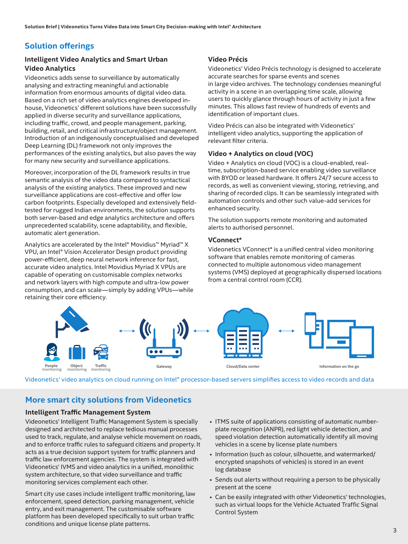## **Solution offerings**

#### **Intelligent Video Analytics and Smart Urban Video Analytics**

Videonetics adds sense to surveillance by automatically analysing and extracting meaningful and actionable information from enormous amounts of digital video data. Based on a rich set of video analytics engines developed inhouse, Videonetics' different solutions have been successfully applied in diverse security and surveillance applications, including traffic, crowd, and people management, parking, building, retail, and critical infrastructure/object management. Introduction of an indigenously conceptualised and developed Deep Learning (DL) framework not only improves the performances of the existing analytics, but also paves the way for many new security and surveillance applications.

Moreover, incorporation of the DL framework results in true semantic analysis of the video data compared to syntactical analysis of the existing analytics. These improved and new surveillance applications are cost-effective and offer low carbon footprints. Especially developed and extensively fieldtested for rugged Indian environments, the solution supports both server-based and edge analytics architecture and offers unprecedented scalability, scene adaptability, and flexible, automatic alert generation.

Analytics are accelerated by the Intel® Movidius™ Myriad™ X VPU, an Intel® Vision Accelerator Design product providing power-efficient, deep neural network inference for fast, accurate video analytics. Intel Movidius Myriad X VPUs are capable of operating on customisable complex networks and network layers with high compute and ultra-low power consumption, and can scale—simply by adding VPUs—while retaining their core efficiency.

#### **Video Précis**

Videonetics' Video Précis technology is designed to accelerate accurate searches for sparse events and scenes in large video archives. The technology condenses meaningful activity in a scene in an overlapping time scale, allowing users to quickly glance through hours of activity in just a few minutes. This allows fast review of hundreds of events and identification of important clues.

Video Précis can also be integrated with Videonetics' intelligent video analytics, supporting the application of relevant filter criteria.

#### **Video + Analytics on cloud (VOC)**

Video + Analytics on cloud (VOC) is a cloud-enabled, realtime, subscription-based service enabling video surveillance with BYOD or leased hardware. It offers 24/7 secure access to records, as well as convenient viewing, storing, retrieving, and sharing of recorded clips. It can be seamlessly integrated with automation controls and other such value-add services for enhanced security.

The solution supports remote monitoring and automated alerts to authorised personnel.

#### **VConnect\***

Videonetics VConnect\* is a unified central video monitoring software that enables remote monitoring of cameras connected to multiple autonomous video management systems (VMS) deployed at geographically dispersed locations from a central control room (CCR).



Videonetics' video analytics on cloud running on Intel® processor-based servers simplifies access to video records and data

## **More smart city solutions from Videonetics**

#### **Intelligent Traffic Management System**

Videonetics' Intelligent Traffic Management System is specially designed and architected to replace tedious manual processes used to track, regulate, and analyse vehicle movement on roads, and to enforce traffic rules to safeguard citizens and property. It acts as a true decision support system for traffic planners and traffic law enforcement agencies. The system is integrated with Videonetics' IVMS and video analytics in a unified, monolithic system architecture, so that video surveillance and traffic monitoring services complement each other.

Smart city use cases include intelligent traffic monitoring, law enforcement, speed detection, parking management, vehicle entry, and exit management. The customisable software platform has been developed specifically to suit urban traffic conditions and unique license plate patterns.

- ITMS suite of applications consisting of automatic numberplate recognition (ANPR), red light vehicle detection, and speed violation detection automatically identify all moving vehicles in a scene by license plate numbers
- Information (such as colour, silhouette, and watermarked/ encrypted snapshots of vehicles) is stored in an event log database
- Sends out alerts without requiring a person to be physically present at the scene
- Can be easily integrated with other Videonetics' technologies, such as virtual loops for the Vehicle Actuated Traffic Signal Control System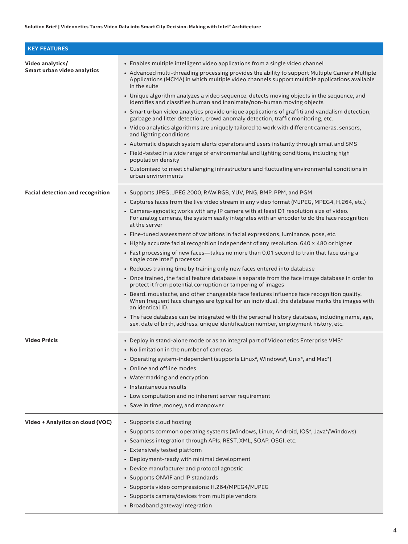| <b>KEY FEATURES</b>                             |                                                                                                                                                                                                                                                                                                                                                                                                                                                                                                                                                                                                                                                                                                                                                                                                                                                                                                                                                                                                                                                                                                                                                                                                                                                                                                                                                  |
|-------------------------------------------------|--------------------------------------------------------------------------------------------------------------------------------------------------------------------------------------------------------------------------------------------------------------------------------------------------------------------------------------------------------------------------------------------------------------------------------------------------------------------------------------------------------------------------------------------------------------------------------------------------------------------------------------------------------------------------------------------------------------------------------------------------------------------------------------------------------------------------------------------------------------------------------------------------------------------------------------------------------------------------------------------------------------------------------------------------------------------------------------------------------------------------------------------------------------------------------------------------------------------------------------------------------------------------------------------------------------------------------------------------|
| Video analytics/<br>Smart urban video analytics | • Enables multiple intelligent video applications from a single video channel<br>• Advanced multi-threading processing provides the ability to support Multiple Camera Multiple<br>Applications (MCMA) in which multiple video channels support multiple applications available<br>in the suite<br>• Unique algorithm analyzes a video sequence, detects moving objects in the sequence, and<br>identifies and classifies human and inanimate/non-human moving objects<br>• Smart urban video analytics provide unique applications of graffiti and vandalism detection,<br>garbage and litter detection, crowd anomaly detection, traffic monitoring, etc.<br>• Video analytics algorithms are uniquely tailored to work with different cameras, sensors,<br>and lighting conditions<br>• Automatic dispatch system alerts operators and users instantly through email and SMS<br>• Field-tested in a wide range of environmental and lighting conditions, including high<br>population density<br>• Customised to meet challenging infrastructure and fluctuating environmental conditions in<br>urban environments                                                                                                                                                                                                                            |
| <b>Facial detection and recognition</b>         | • Supports JPEG, JPEG 2000, RAW RGB, YUV, PNG, BMP, PPM, and PGM<br>• Captures faces from the live video stream in any video format (MJPEG, MPEG4, H.264, etc.)<br>• Camera-agnostic; works with any IP camera with at least D1 resolution size of video.<br>For analog cameras, the system easily integrates with an encoder to do the face recognition<br>at the server<br>. Fine-tuned assessment of variations in facial expressions, luminance, pose, etc.<br>• Highly accurate facial recognition independent of any resolution, 640 × 480 or higher<br>• Fast processing of new faces—takes no more than 0.01 second to train that face using a<br>single core Intel® processor<br>• Reduces training time by training only new faces entered into database<br>• Once trained, the facial feature database is separate from the face image database in order to<br>protect it from potential corruption or tampering of images<br>• Beard, moustache, and other changeable face features influence face recognition quality.<br>When frequent face changes are typical for an individual, the database marks the images with<br>an identical ID.<br>• The face database can be integrated with the personal history database, including name, age,<br>sex, date of birth, address, unique identification number, employment history, etc. |
| <b>Video Précis</b>                             | • Deploy in stand-alone mode or as an integral part of Videonetics Enterprise VMS*<br>• No limitation in the number of cameras<br>• Operating system-independent (supports Linux*, Windows*, Unix*, and Mac*)<br>• Online and offline modes<br>• Watermarking and encryption<br>• Instantaneous results<br>• Low computation and no inherent server requirement<br>• Save in time, money, and manpower                                                                                                                                                                                                                                                                                                                                                                                                                                                                                                                                                                                                                                                                                                                                                                                                                                                                                                                                           |
| Video + Analytics on cloud (VOC)                | • Supports cloud hosting<br>• Supports common operating systems (Windows, Linux, Android, IOS*, Java*/Windows)<br>· Seamless integration through APIs, REST, XML, SOAP, OSGI, etc.<br>• Extensively tested platform<br>• Deployment-ready with minimal development<br>• Device manufacturer and protocol agnostic<br>• Supports ONVIF and IP standards<br>• Supports video compressions: H.264/MPEG4/MJPEG<br>• Supports camera/devices from multiple vendors<br>• Broadband gateway integration                                                                                                                                                                                                                                                                                                                                                                                                                                                                                                                                                                                                                                                                                                                                                                                                                                                 |